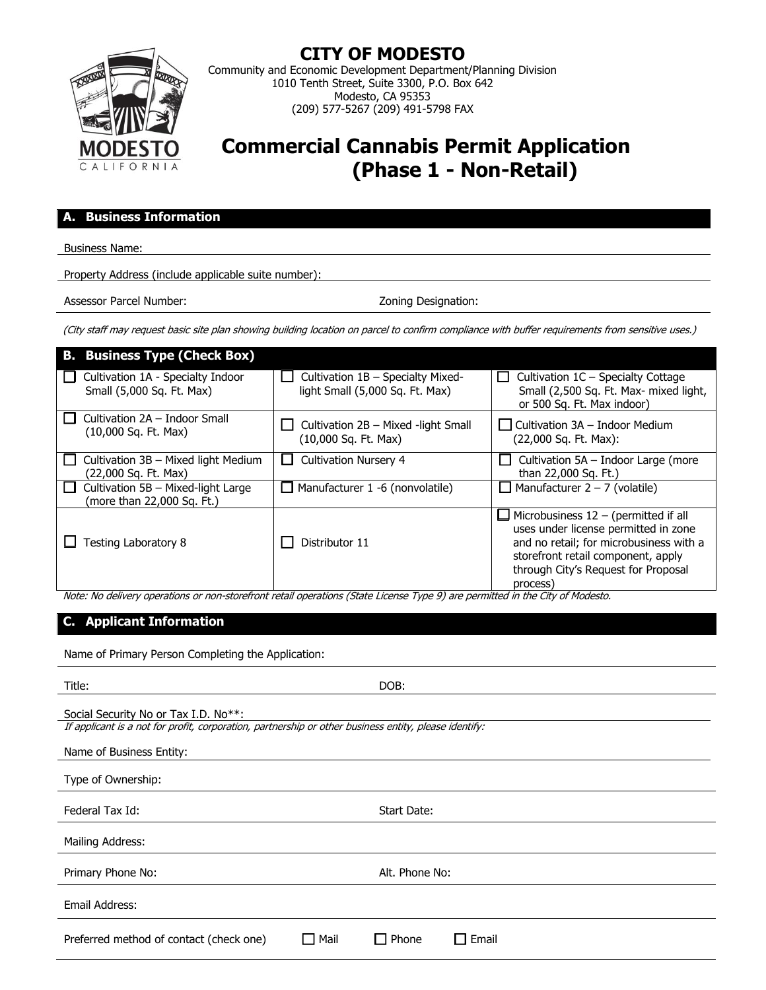

**CITY OF MODESTO**

Community and Economic Development Department/Planning Division 1010 Tenth Street, Suite 3300, P.O. Box 642 Modesto, CA 95353 (209) 577-5267 (209) 491-5798 FAX

# **Commercial Cannabis Permit Application (Phase 1 - Non-Retail)**

## **A. Business Information**

Business Name:

Property Address (include applicable suite number):

Assessor Parcel Number:  $\overline{\phantom{a}}$  2001  $\overline{\phantom{a}}$  2001  $\overline{\phantom{a}}$ 

(City staff may request basic site plan showing building location on parcel to confirm compliance with buffer requirements from sensitive uses.)

| <b>B. Business Type (Check Box)</b>                              |                                                                      |                                                                                                                                                                                                                         |
|------------------------------------------------------------------|----------------------------------------------------------------------|-------------------------------------------------------------------------------------------------------------------------------------------------------------------------------------------------------------------------|
| Cultivation 1A - Specialty Indoor<br>Small (5,000 Sq. Ft. Max)   | Cultivation 1B - Specialty Mixed-<br>light Small (5,000 Sq. Ft. Max) | Cultivation 1C - Specialty Cottage<br>Small (2,500 Sq. Ft. Max- mixed light,<br>or 500 Sq. Ft. Max indoor)                                                                                                              |
| Cultivation 2A - Indoor Small<br>$(10,000$ Sq. Ft. Max)          | Cultivation 2B - Mixed -light Small<br>(10,000 Sq. Ft. Max)          | Cultivation $3A$ – Indoor Medium<br>(22,000 Sq. Ft. Max):                                                                                                                                                               |
| Cultivation 3B - Mixed light Medium<br>(22,000 Sq. Ft. Max)      | <b>Cultivation Nursery 4</b>                                         | Cultivation 5A - Indoor Large (more<br>than 22,000 Sq. Ft.)                                                                                                                                                             |
| Cultivation 5B - Mixed-light Large<br>(more than 22,000 Sq. Ft.) | Manufacturer 1 -6 (nonvolatile)                                      | $\Box$ Manufacturer 2 – 7 (volatile)                                                                                                                                                                                    |
| <b>Testing Laboratory 8</b>                                      | Distributor 11                                                       | $\Box$ Microbusiness 12 – (permitted if all<br>uses under license permitted in zone<br>and no retail; for microbusiness with a<br>storefront retail component, apply<br>through City's Request for Proposal<br>process) |

Note: No delivery operations or non-storefront retail operations (State License Type 9) are permitted in the City of Modesto.

# **C. Applicant Information**

Name of Primary Person Completing the Application:

| Title:                                                                                                                                        | DOB:                         |
|-----------------------------------------------------------------------------------------------------------------------------------------------|------------------------------|
| Social Security No or Tax I.D. No**:<br>If applicant is a not for profit, corporation, partnership or other business entity, please identify: |                              |
| Name of Business Entity:                                                                                                                      |                              |
| Type of Ownership:                                                                                                                            |                              |
| Federal Tax Id:                                                                                                                               | Start Date:                  |
| Mailing Address:                                                                                                                              |                              |
| Primary Phone No:                                                                                                                             | Alt. Phone No:               |
| Email Address:                                                                                                                                |                              |
| Mail<br>Preferred method of contact (check one)                                                                                               | <b>Phone</b><br>$\Box$ Email |
|                                                                                                                                               |                              |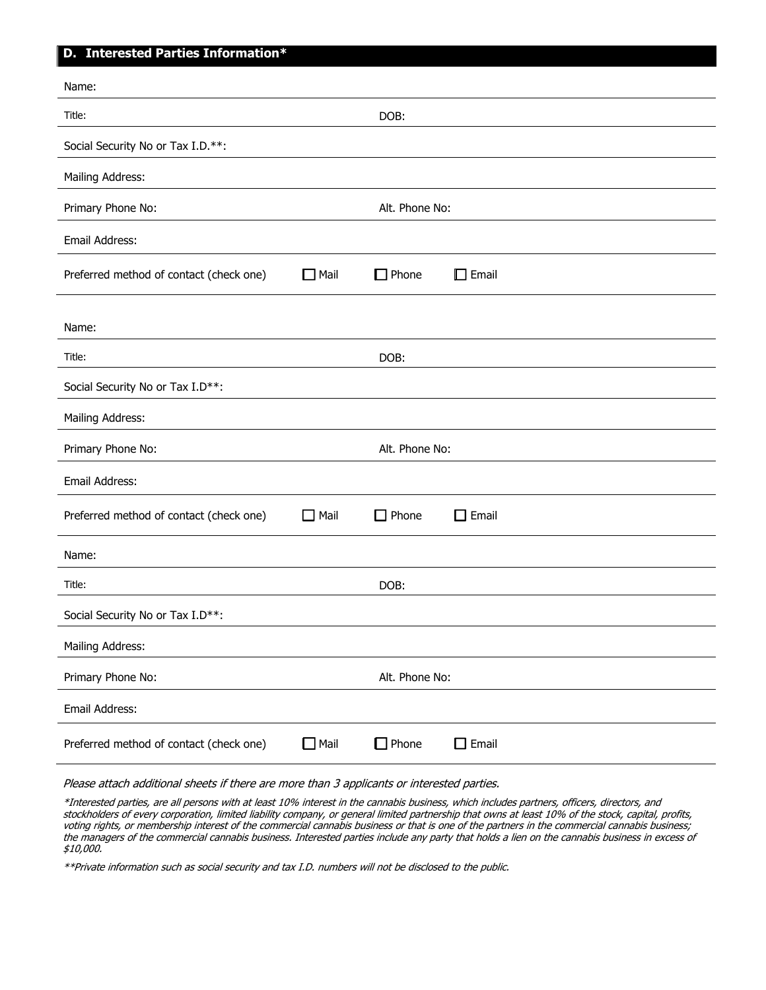# **D. Interested Parties Information\***

| Name:                                   |                |                |              |
|-----------------------------------------|----------------|----------------|--------------|
| Title:                                  |                | DOB:           |              |
| Social Security No or Tax I.D.**:       |                |                |              |
| Mailing Address:                        |                |                |              |
| Primary Phone No:                       |                | Alt. Phone No: |              |
| Email Address:                          |                |                |              |
| Preferred method of contact (check one) | $\Box$ Mail    | $\Box$ Phone   | $\Box$ Email |
| Name:                                   |                |                |              |
| Title:                                  |                | DOB:           |              |
| Social Security No or Tax I.D**:        |                |                |              |
| Mailing Address:                        |                |                |              |
| Alt. Phone No:<br>Primary Phone No:     |                |                |              |
| Email Address:                          |                |                |              |
| Preferred method of contact (check one) | $\Box$ Mail    | $\Box$ Phone   | $\Box$ Email |
| Name:                                   |                |                |              |
| Title:                                  |                | DOB:           |              |
| Social Security No or Tax I.D**:        |                |                |              |
| Mailing Address:                        |                |                |              |
| Primary Phone No:<br>Alt. Phone No:     |                |                |              |
| Email Address:                          |                |                |              |
| Preferred method of contact (check one) | $\square$ Mail | $\Box$ Phone   | $\Box$ Email |

Please attach additional sheets if there are more than 3 applicants or interested parties.

\*Interested parties, are all persons with at least 10% interest in the cannabis business, which includes partners, officers, directors, and stockholders of every corporation, limited liability company, or general limited partnership that owns at least 10% of the stock, capital, profits, voting rights, or membership interest of the commercial cannabis business or that is one of the partners in the commercial cannabis business; the managers of the commercial cannabis business. Interested parties include any party that holds a lien on the cannabis business in excess of \$10,000.

\*\*Private information such as social security and tax I.D. numbers will not be disclosed to the public.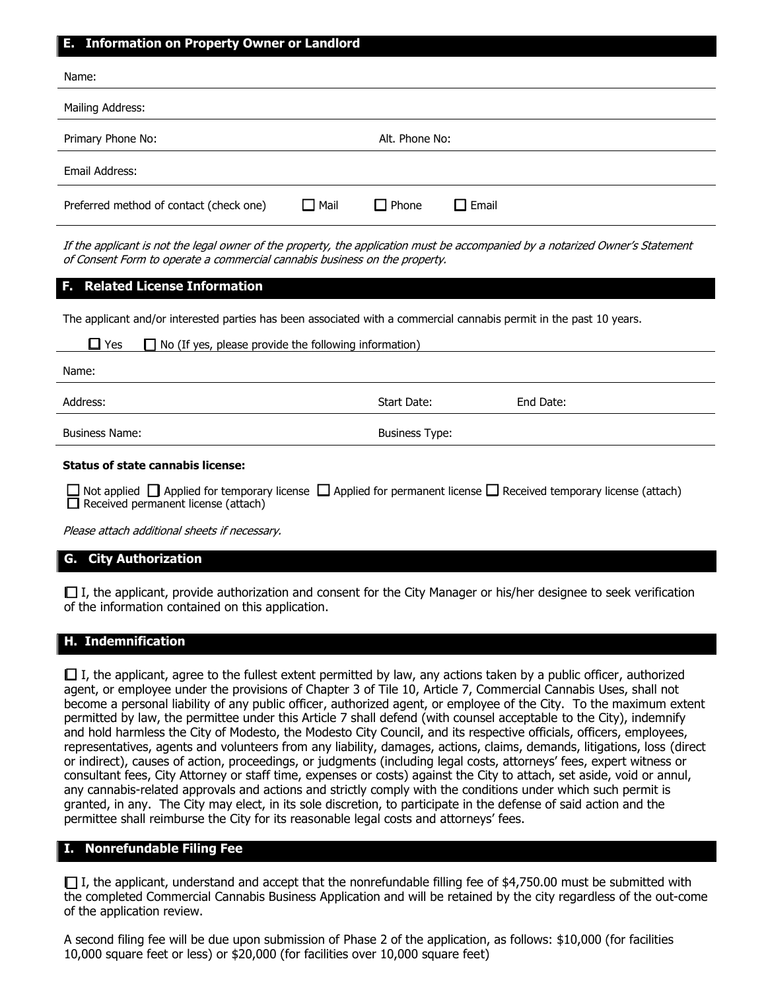#### **E. Information on Property Owner or Landlord**

| Name:                                   |                |                |              |
|-----------------------------------------|----------------|----------------|--------------|
| Mailing Address:                        |                |                |              |
| Primary Phone No:                       |                | Alt. Phone No: |              |
| Email Address:                          |                |                |              |
| Preferred method of contact (check one) | $\square$ Mail | $\Box$ Phone   | $\Box$ Email |

If the applicant is not the legal owner of the property, the application must be accompanied by a notarized Owner's Statement of Consent Form to operate a commercial cannabis business on the property.

#### **F. Related License Information**

The applicant and/or interested parties has been associated with a commercial cannabis permit in the past 10 years.

| No (If yes, please provide the following information)<br>Yes                                                                                                                   |                       |           |  |
|--------------------------------------------------------------------------------------------------------------------------------------------------------------------------------|-----------------------|-----------|--|
| Name:                                                                                                                                                                          |                       |           |  |
| Address:                                                                                                                                                                       | Start Date:           | End Date: |  |
| <b>Business Name:</b>                                                                                                                                                          | <b>Business Type:</b> |           |  |
| <b>Status of state cannabis license:</b>                                                                                                                                       |                       |           |  |
| $\Box$ Not applied $\Box$ Applied for temporary license $\Box$ Applied for permanent license $\Box$ Received temporary license (attach)<br>Received permanent license (attach) |                       |           |  |

Please attach additional sheets if necessary.

### **G. City Authorization**

 $\Box$  I, the applicant, provide authorization and consent for the City Manager or his/her designee to seek verification of the information contained on this application.

# **H. Indemnification**

 $\Box$  I, the applicant, agree to the fullest extent permitted by law, any actions taken by a public officer, authorized agent, or employee under the provisions of Chapter 3 of Tile 10, Article 7, Commercial Cannabis Uses, shall not become a personal liability of any public officer, authorized agent, or employee of the City. To the maximum extent permitted by law, the permittee under this Article 7 shall defend (with counsel acceptable to the City), indemnify and hold harmless the City of Modesto, the Modesto City Council, and its respective officials, officers, employees, representatives, agents and volunteers from any liability, damages, actions, claims, demands, litigations, loss (direct or indirect), causes of action, proceedings, or judgments (including legal costs, attorneys' fees, expert witness or consultant fees, City Attorney or staff time, expenses or costs) against the City to attach, set aside, void or annul, any cannabis-related approvals and actions and strictly comply with the conditions under which such permit is granted, in any. The City may elect, in its sole discretion, to participate in the defense of said action and the permittee shall reimburse the City for its reasonable legal costs and attorneys' fees.

## **I. Nonrefundable Filing Fee**

 $\Box$  I, the applicant, understand and accept that the nonrefundable filling fee of \$4,750.00 must be submitted with the completed Commercial Cannabis Business Application and will be retained by the city regardless of the out-come of the application review.

A second filing fee will be due upon submission of Phase 2 of the application, as follows: \$10,000 (for facilities 10,000 square feet or less) or \$20,000 (for facilities over 10,000 square feet)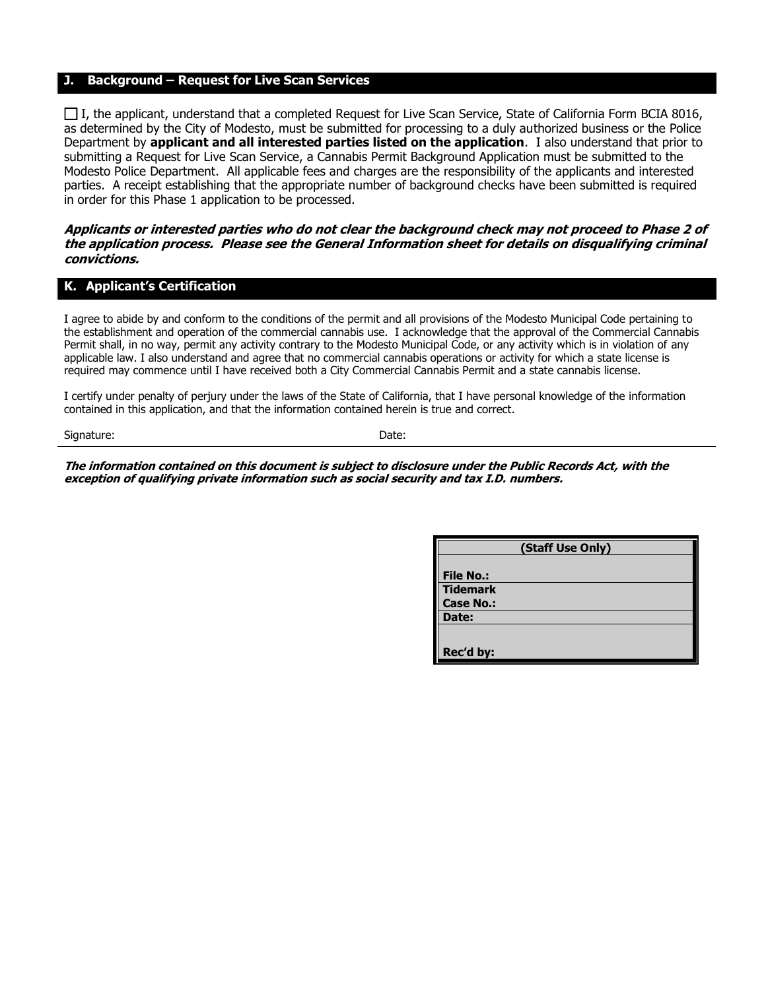#### **J. Background – Request for Live Scan Services**

 $\Box$  I, the applicant, understand that a completed Request for Live Scan Service, State of California Form BCIA 8016, as determined by the City of Modesto, must be submitted for processing to a duly authorized business or the Police Department by **applicant and all interested parties listed on the application**. I also understand that prior to submitting a Request for Live Scan Service, a Cannabis Permit Background Application must be submitted to the Modesto Police Department. All applicable fees and charges are the responsibility of the applicants and interested parties. A receipt establishing that the appropriate number of background checks have been submitted is required in order for this Phase 1 application to be processed.

#### **Applicants or interested parties who do not clear the background check may not proceed to Phase 2 of the application process. Please see the General Information sheet for details on disqualifying criminal convictions.**

### **K. Applicant's Certification**

I agree to abide by and conform to the conditions of the permit and all provisions of the Modesto Municipal Code pertaining to the establishment and operation of the commercial cannabis use. I acknowledge that the approval of the Commercial Cannabis Permit shall, in no way, permit any activity contrary to the Modesto Municipal Code, or any activity which is in violation of any applicable law. I also understand and agree that no commercial cannabis operations or activity for which a state license is required may commence until I have received both a City Commercial Cannabis Permit and a state cannabis license.

I certify under penalty of perjury under the laws of the State of California, that I have personal knowledge of the information contained in this application, and that the information contained herein is true and correct.

Signature: Date:

**The information contained on this document is subject to disclosure under the Public Records Act, with the exception of qualifying private information such as social security and tax I.D. numbers.**

| (Staff Use Only) |  |  |
|------------------|--|--|
|                  |  |  |
| <b>File No.:</b> |  |  |
| <b>Tidemark</b>  |  |  |
| <b>Case No.:</b> |  |  |
| Date:            |  |  |
|                  |  |  |
| Rec'd by:        |  |  |